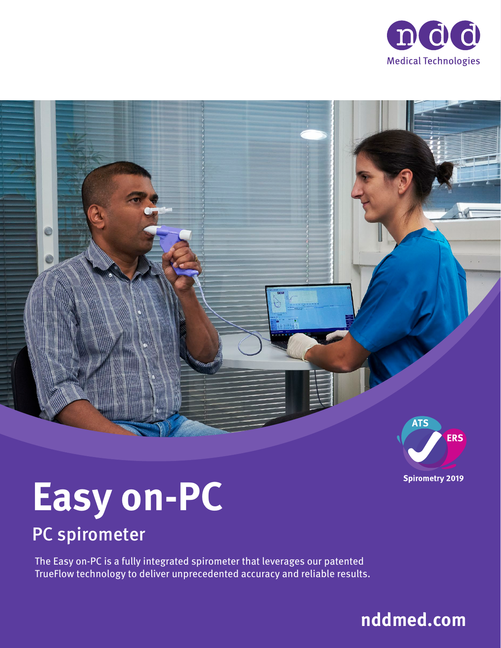



![](_page_0_Picture_2.jpeg)

# **Easy on-PC**

### PC spirometer

The Easy on-PC is a fully integrated spirometer that leverages our patented TrueFlow technology to deliver unprecedented accuracy and reliable results.

![](_page_0_Picture_6.jpeg)